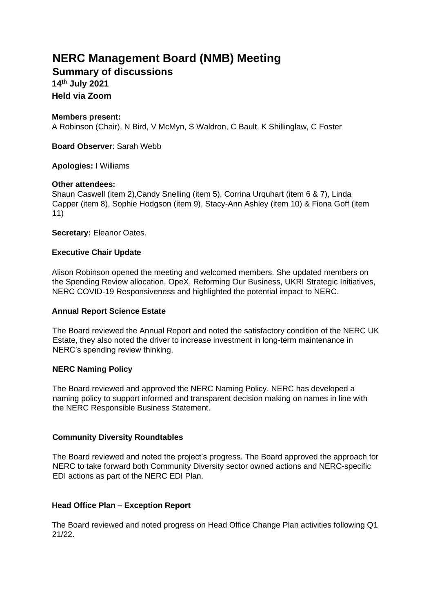# **NERC Management Board (NMB) Meeting**

**Summary of discussions 14 th July 2021 Held via Zoom** 

## **Members present:**

A Robinson (Chair), N Bird, V McMyn, S Waldron, C Bault, K Shillinglaw, C Foster

**Board Observer**: Sarah Webb

## **Apologies:** I Williams

### **Other attendees:**

Shaun Caswell (item 2),Candy Snelling (item 5), Corrina Urquhart (item 6 & 7), Linda Capper (item 8), Sophie Hodgson (item 9), Stacy-Ann Ashley (item 10) & Fiona Goff (item 11)

**Secretary:** Eleanor Oates.

### **Executive Chair Update**

Alison Robinson opened the meeting and welcomed members. She updated members on the Spending Review allocation, OpeX, Reforming Our Business, UKRI Strategic Initiatives, NERC COVID-19 Responsiveness and highlighted the potential impact to NERC.

### **Annual Report Science Estate**

The Board reviewed the Annual Report and noted the satisfactory condition of the NERC UK Estate, they also noted the driver to increase investment in long-term maintenance in NERC's spending review thinking.

### **NERC Naming Policy**

The Board reviewed and approved the NERC Naming Policy. NERC has developed a naming policy to support informed and transparent decision making on names in line with the NERC Responsible Business Statement.

### **Community Diversity Roundtables**

The Board reviewed and noted the project's progress. The Board approved the approach for NERC to take forward both Community Diversity sector owned actions and NERC-specific EDI actions as part of the NERC EDI Plan.

### **Head Office Plan – Exception Report**

The Board reviewed and noted progress on Head Office Change Plan activities following Q1 21/22.